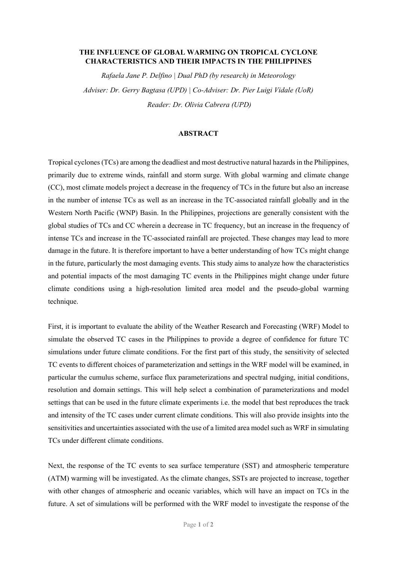## THE INFLUENCE OF GLOBAL WARMING ON TROPICAL CYCLONE CHARACTERISTICS AND THEIR IMPACTS IN THE PHILIPPINES

Rafaela Jane P. Delfino | Dual PhD (by research) in Meteorology Adviser: Dr. Gerry Bagtasa (UPD) | Co-Adviser: Dr. Pier Luigi Vidale (UoR) Reader: Dr. Olivia Cabrera (UPD)

## ABSTRACT

Tropical cyclones (TCs) are among the deadliest and most destructive natural hazards in the Philippines, primarily due to extreme winds, rainfall and storm surge. With global warming and climate change (CC), most climate models project a decrease in the frequency of TCs in the future but also an increase in the number of intense TCs as well as an increase in the TC-associated rainfall globally and in the Western North Pacific (WNP) Basin. In the Philippines, projections are generally consistent with the global studies of TCs and CC wherein a decrease in TC frequency, but an increase in the frequency of intense TCs and increase in the TC-associated rainfall are projected. These changes may lead to more damage in the future. It is therefore important to have a better understanding of how TCs might change in the future, particularly the most damaging events. This study aims to analyze how the characteristics and potential impacts of the most damaging TC events in the Philippines might change under future climate conditions using a high-resolution limited area model and the pseudo-global warming technique.

First, it is important to evaluate the ability of the Weather Research and Forecasting (WRF) Model to simulate the observed TC cases in the Philippines to provide a degree of confidence for future TC simulations under future climate conditions. For the first part of this study, the sensitivity of selected TC events to different choices of parameterization and settings in the WRF model will be examined, in particular the cumulus scheme, surface flux parameterizations and spectral nudging, initial conditions, resolution and domain settings. This will help select a combination of parameterizations and model settings that can be used in the future climate experiments i.e. the model that best reproduces the track and intensity of the TC cases under current climate conditions. This will also provide insights into the sensitivities and uncertainties associated with the use of a limited area model such as WRF in simulating TCs under different climate conditions.

Next, the response of the TC events to sea surface temperature (SST) and atmospheric temperature (ATM) warming will be investigated. As the climate changes, SSTs are projected to increase, together with other changes of atmospheric and oceanic variables, which will have an impact on TCs in the future. A set of simulations will be performed with the WRF model to investigate the response of the